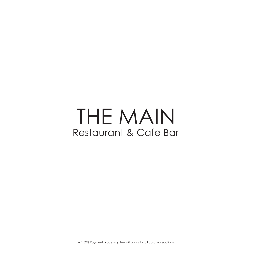# THE MAIN Restaurant & Cafe Bar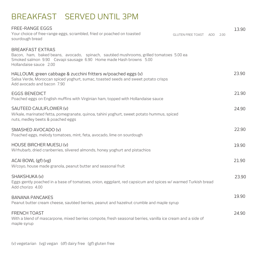## BREAKFAST SERVED UNTIL 3PM

|                                                                                                                                                                                                                                                                                                                                                                                               | 2.00                                                                                                                                        | 13.90 |
|-----------------------------------------------------------------------------------------------------------------------------------------------------------------------------------------------------------------------------------------------------------------------------------------------------------------------------------------------------------------------------------------------|---------------------------------------------------------------------------------------------------------------------------------------------|-------|
|                                                                                                                                                                                                                                                                                                                                                                                               |                                                                                                                                             |       |
|                                                                                                                                                                                                                                                                                                                                                                                               |                                                                                                                                             | 23.90 |
|                                                                                                                                                                                                                                                                                                                                                                                               |                                                                                                                                             | 21.90 |
|                                                                                                                                                                                                                                                                                                                                                                                               |                                                                                                                                             | 24.90 |
|                                                                                                                                                                                                                                                                                                                                                                                               |                                                                                                                                             | 22.90 |
|                                                                                                                                                                                                                                                                                                                                                                                               |                                                                                                                                             | 19.90 |
|                                                                                                                                                                                                                                                                                                                                                                                               |                                                                                                                                             | 21.90 |
|                                                                                                                                                                                                                                                                                                                                                                                               |                                                                                                                                             | 23.90 |
|                                                                                                                                                                                                                                                                                                                                                                                               |                                                                                                                                             | 19.90 |
|                                                                                                                                                                                                                                                                                                                                                                                               |                                                                                                                                             | 24.90 |
| Bacon, ham, baked beans, avocado, spinach, sautéed mushrooms, grilled tomatoes 5.00 ea<br>W/kale, marinated fetta, pomegranate, quinoa, tahini yoghurt, sweet potato hummus, spiced<br>Peanut butter cream cheese, sautéed berries, peanut and hazelnut crumble and maple syrup<br>With a blend of mascarpone, mixed berries compote, fresh seasonal berries, vanilla ice cream and a side of | <b>GLUTEN FREE TOAST ADD</b><br>Eggs gently poached in a base of tomatoes, onion, eggplant, red capsicum and spices w/ warmed Turkish bread |       |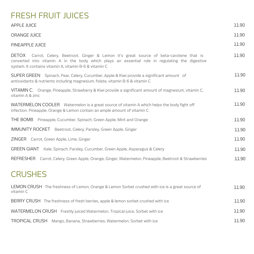# FRESH FRUIT JUICES

| <b>APPLE JUICE</b>                                                                                                                                                                                                                                              | 11.90 |
|-----------------------------------------------------------------------------------------------------------------------------------------------------------------------------------------------------------------------------------------------------------------|-------|
| ORANGE JUICE                                                                                                                                                                                                                                                    | 11.90 |
| PINEAPPLE JUICE                                                                                                                                                                                                                                                 | 11.90 |
| <b>DETOX</b><br>Carrot, Celery, Beetroot, Ginger & Lemon it's great source of beta-carotene that is<br>converted into vitamin A in the body which plays an essential role in regulating the digestive<br>system. It contains vitamin A, vitamin B-6 & vitamin C | 11.90 |
| SUPER GREEN Spinach, Pear, Celery, Cucumber, Apple & Kiwi provide a significant amount of<br>antioxidants & nutrients including magnesium, folate, vitamin B-6 & vitamin C                                                                                      | 11.90 |
| VITAMIN C. Orange, Pineapple, Strawberry & Kiwi provide a significant amount of magnesium, vitamin C,<br>vitamin A & zinc                                                                                                                                       | 11.90 |
| WATERMELON COOLER Watermelon is a great source of vitamin A which helps the body fight off<br>infection. Pineapple, Orange & Lemon contain an ample amount of vitamin C                                                                                         | 11.90 |
| THE BOMB Pineapple, Cucumber, Spinach, Green Apple, Mint and Orange                                                                                                                                                                                             | 11.90 |
| IMMUNITY ROCKET Beetroot, Celery, Parsley, Green Apple, Ginger                                                                                                                                                                                                  | 11.90 |
| ZINGER Carrot, Green Apple, Lime, Ginger                                                                                                                                                                                                                        | 11.90 |
| GREEN GIANT Kale, Spinach, Parsley, Cucumber, Green Apple, Asparagus & Celery                                                                                                                                                                                   | 11.90 |
| REFRESHER Carrot, Celery, Green Apple, Orange, Ginger, Watermelon, Pineapple, Beetroot & Strawberries                                                                                                                                                           | 11.90 |
| <b>CRUSHES</b>                                                                                                                                                                                                                                                  |       |
| LEMON CRUSH The freshness of Lemon, Orange & Lemon Sorbet crushed with ice is a great source of<br>vitamin C                                                                                                                                                    | 11.90 |
| BERRY CRUSH The freshness of fresh berries, apple & lemon sorbet crushed with ice                                                                                                                                                                               | 11.90 |
| WATERMELON CRUSH Freshly juiced Watermelon, Tropical juice, Sorbet with ice                                                                                                                                                                                     | 11.90 |
| TROPICAL CRUSH Mango, Banana, Strawberries, Watermelon, Sorbet with ice                                                                                                                                                                                         | 11.90 |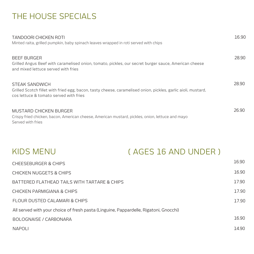# THE HOUSE SPECIALS

| <b>TANDOORI CHICKEN ROTI</b><br>Minted raita, grilled pumpkin, baby spinach leaves wrapped in roti served with chips                                                      | 16.90 |
|---------------------------------------------------------------------------------------------------------------------------------------------------------------------------|-------|
| <b>BEEF BURGER</b><br>Grilled Angus Beef with caramelised onion, tomato, pickles, our secret burger sauce, American cheese<br>and mixed lettuce served with fries         | 28.90 |
| STEAK SANDWICH<br>Grilled Scotch fillet with fried egg, bacon, tasty cheese, caramelised onion, pickles, garlic aioli, mustard,<br>cos lettuce & tomato served with fries | 28.90 |
| MUSTARD CHICKEN BURGER<br>Crispy fried chicken, bacon, American cheese, American mustard, pickles, onion, lettuce and mayo<br>Served with fries                           | 26.90 |

| KIDS MENU | (AGES 16 AND UNDER ) |
|-----------|----------------------|
|           |                      |

| <b>CHEESEBURGER &amp; CHIPS</b>                                                       | 16.90 |
|---------------------------------------------------------------------------------------|-------|
| <b>CHICKEN NUGGETS &amp; CHIPS</b>                                                    | 16.90 |
| BATTERED FLATHEAD TAILS WITH TARTARE & CHIPS                                          | 17.90 |
| CHICKEN PARMIGIANA & CHIPS                                                            | 17.90 |
| <b>FLOUR DUSTED CALAMARI &amp; CHIPS</b>                                              | 17.90 |
| All served with your choice of fresh pasta (Linguine, Pappardelle, Rigatoni, Gnocchi) |       |
| BOLOGNAISE / CARBONARA                                                                | 16.90 |
| NAPOLI                                                                                | 14.90 |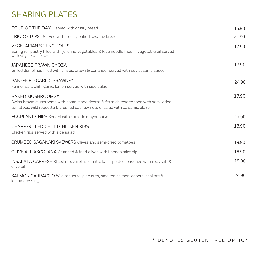## SHARING PLATES

| SOUP OF THE DAY Served with crusty bread                                                                                                                                             | 15.90 |
|--------------------------------------------------------------------------------------------------------------------------------------------------------------------------------------|-------|
| TRIO OF DIPS Served with freshly baked sesame bread                                                                                                                                  | 21.90 |
| <b>VEGETARIAN SPRING ROLLS</b><br>Spring roll pastry filled with julienne vegetables & Rice noodle fried in vegetable oil served<br>with soy sesame sauce                            | 17.90 |
| <b>JAPANESE PRAWN GYOZA</b><br>Grilled dumplings filled with chives, prawn & coriander served with soy sesame sauce                                                                  | 17.90 |
| PAN-FRIED GARLIC PRAWNS*<br>Fennel, salt, chilli, garlic, lemon served with side salad                                                                                               | 24.90 |
| BAKED MUSHROOMS*<br>Swiss brown mushrooms with home made ricotta & fetta cheese topped with semi-dried<br>tomatoes, wild roquette & crushed cashew nuts drizzled with balsamic glaze | 17.90 |
| EGGPLANT CHIPS Served with chipotle mayonnaise                                                                                                                                       | 17.90 |
| CHAR-GRILLED CHILLI CHICKEN RIBS<br>Chicken ribs served with side salad                                                                                                              | 18.90 |
| <b>CRUMBED SAGANAKI SKEWERS Olives and semi-dried tomatoes</b>                                                                                                                       | 19.90 |
| OLIVE ALL'ASCOLANA Crumbed & fried olives with Labneh mint dip                                                                                                                       | 16.90 |
| <b>INSALATA CAPRESE</b> Sliced mozzarella, tomato, basil, pesto, seasoned with rock salt &<br>olive oil                                                                              | 19.90 |
| SALMON CARPACCIO Wild roquette, pine nuts, smoked salmon, capers, shallots &<br>lemon dressing                                                                                       | 24.90 |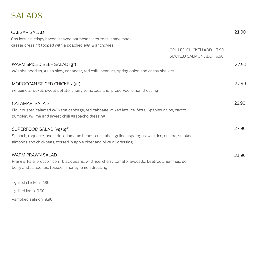# SALADS

| <b>CAESAR SALAD</b>                                                                                                                                                      |                                                      | 21.90 |
|--------------------------------------------------------------------------------------------------------------------------------------------------------------------------|------------------------------------------------------|-------|
| Cos lettuce, crispy bacon, shaved parmesan, croutons, home made                                                                                                          |                                                      |       |
| caesar dressing topped with a poached egg & anchovies                                                                                                                    | <b>GRILLED CHICKEN ADD</b><br>SMOKED SALMON ADD 9.90 | 7.90  |
| WARM SPICED BEEF SALAD (gf)                                                                                                                                              |                                                      | 27.90 |
| w/ soba noodles, Asian slaw, coriander, red chilli, peanuts, spring onion and crispy shallots                                                                            |                                                      |       |
| MOROCCAN SPICED CHICKEN (gf)                                                                                                                                             |                                                      | 27.90 |
| w/ quinoa, rocket, sweet potato, cherry tomatoes and preserved lemon dressing                                                                                            |                                                      |       |
| <b>CALAMARI SALAD</b>                                                                                                                                                    |                                                      | 29.90 |
| Flour dusted calamari w/ Napa cabbage, red cabbage, mixed lettuce, fetta, Spanish onion, carrot,<br>pumpkin, w/lime and sweet chilli gazpacho dressing                   |                                                      |       |
| SUPERFOOD SALAD (vg) (gf)                                                                                                                                                |                                                      | 27.90 |
| Spinach, roquette, avocado, edamame beans, cucumber, grilled asparagus, wild rice, quinoa, smoked<br>almonds and chickpeas, tossed in apple cider and olive oil dressing |                                                      |       |
| <b>WARM PRAWN SALAD</b>                                                                                                                                                  |                                                      | 31.90 |
| Prawns, kale, broccoli, corn, black beans, wild rice, cherry tomato, avocado, beetroot, hummus, goji<br>berry and Jalapenos, tossed in honey lemon dressing              |                                                      |       |
| +grilled chicken 7.90                                                                                                                                                    |                                                      |       |
| +grilled lamb 9.90                                                                                                                                                       |                                                      |       |
| +smoked salmon 9.90                                                                                                                                                      |                                                      |       |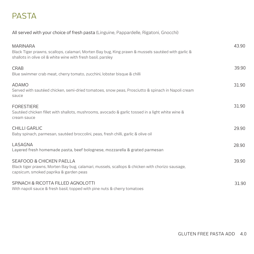## PASTA

All served with your choice of fresh pasta (Linguine, Pappardelle, Rigatoni, Gnocchi)

| <b>MARINARA</b><br>Black Tiger prawns, scallops, calamari, Morten Bay bug, King prawn & mussels sautéed with garlic &<br>shallots in olive oil & white wine with fresh basil, parsley | 43.90 |
|---------------------------------------------------------------------------------------------------------------------------------------------------------------------------------------|-------|
| <b>CRAB</b><br>Blue swimmer crab meat, cherry tomato, zucchini, lobster bisque & chilli                                                                                               | 39.90 |
| <b>ADAMO</b><br>Served with sautéed chicken, semi-dried tomatoes, snow peas, Prosciutto & spinach in Napoli cream<br>sauce                                                            | 31.90 |
| <b>FORESTIERE</b><br>Sautéed chicken fillet with shallots, mushrooms, avocado & garlic tossed in a light white wine &<br>cream sauce                                                  | 31.90 |
| <b>CHILLI GARLIC</b><br>Baby spinach, parmesan, sautéed broccolini, peas, fresh chilli, garlic & olive oil                                                                            | 29.90 |
| LASAGNA<br>Layered fresh homemade pasta, beef bolognese, mozzarella & grated parmesan                                                                                                 | 28.90 |
| <b>SEAFOOD &amp; CHICKEN PAELLA</b><br>Black tiger prawns, Morten Bay bug, calamari, mussels, scallops & chicken with chorizo sausage,<br>capsicum, smoked paprika & garden peas      | 39.90 |
| SPINACH & RICOTTA FILLED AGNOLOTTI<br>With napoli sauce & fresh basil, topped with pine nuts & cherry tomatoes                                                                        | 31.90 |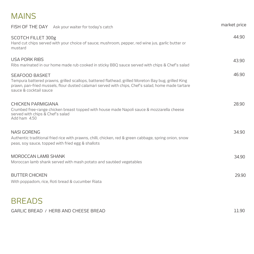#### MAINS

| FISH OF THE DAY Ask your waiter for today's catch                                                                                                                                                                                                            | market price |
|--------------------------------------------------------------------------------------------------------------------------------------------------------------------------------------------------------------------------------------------------------------|--------------|
| <b>SCOTCH FILLET 300g</b><br>Hand cut chips served with your choice of sauce; mushroom, pepper, red wine jus, garlic butter or<br>mustard                                                                                                                    | 44.90        |
| <b>USA PORK RIBS</b><br>Ribs marinated in our home made rub cooked in sticky BBQ sauce served with chips & Chef's salad                                                                                                                                      | 43.90        |
| <b>SEAFOOD BASKET</b><br>Tempura battered prawns, grilled scallops, battered flathead, grilled Moreton Bay bug, grilled King<br>prawn, pan-fried mussels, flour dusted calamari served with chips, Chef's salad, home made tartare<br>sauce & cocktail sauce | 46.90        |
| <b>CHICKEN PARMIGIANA</b><br>Crumbed free-range chicken breast topped with house made Napoli sauce & mozzarella cheese<br>served with chips & Chef's salad<br>Add ham 4.50                                                                                   | 28.90        |
| <b>NASI GORENG</b><br>Authentic traditional fried rice with prawns, chilli, chicken, red & green cabbage, spring onion, snow<br>peas, soy sauce, topped with fried egg & shallots                                                                            | 34.90        |
| <b>MOROCCAN LAMB SHANK</b><br>Moroccan lamb shank served with mash potato and sautéed vegetables                                                                                                                                                             | 34.90        |
| <b>BUTTER CHICKEN</b><br>With poppadom, rice, Roti bread & cucumber Riata                                                                                                                                                                                    | 29.90        |
| <b>BREADS</b>                                                                                                                                                                                                                                                |              |

11.90

GARLIC BREAD / HERB AND CHEESE BREAD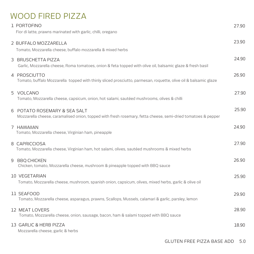#### WOOD FIRED PIZZA

| 1 PORTOFINO<br>Fior di latte, prawns marinated with garlic, chilli, oregano                                                                  | 27.90 |
|----------------------------------------------------------------------------------------------------------------------------------------------|-------|
| 2 BUFFALO MOZZARELLA<br>Tomato, Mozzarella cheese, buffalo mozzarella & mixed herbs                                                          | 23.90 |
| 3 BRUSCHETTA PIZZA<br>Garlic, Mozzarella cheese, Roma tomatoes, onion & feta topped with olive oil, balsamic glaze & fresh basil             | 24.90 |
| 4 PROSCIUTTO<br>Tomato, buffalo Mozzarella topped with thinly sliced prosciutto, parmesan, roquette, olive oil & balsamic glaze              | 26.90 |
| 5 VOLCANO<br>Tomato, Mozzarella cheese, capsicum, onion, hot salami, sautéed mushrooms, olives & chilli                                      | 27.90 |
| 6 POTATO ROSEMARY & SEA SALT<br>Mozzarella cheese, caramalised onion, topped with fresh rosemary, fetta cheese, semi-dried tomatoes & pepper | 25.90 |
| 7 HAWAIIAN<br>Tomato, Mozzarella cheese, Virginian ham, pineapple                                                                            | 24.90 |
| 8 CAPRICCIOSA<br>Tomato, Mozzarella cheese, Virginian ham, hot salami, olives, sautéed mushrooms & mixed herbs                               | 27.90 |
| <b>BBQ CHICKEN</b><br>9<br>Chicken, tomato, Mozzarella cheese, mushroom & pineapple topped with BBQ sauce                                    | 26.90 |
| <b>10 VEGETARIAN</b><br>Tomato, Mozzarella cheese, mushroom, spanish onion, capsicum, olives, mixed herbs, garlic & olive oil                | 25.90 |
| 11 SEAFOOD<br>Tomato, Mozzarella cheese, asparagus, prawns, Scallops, Mussels, calamari & garlic, parsley, lemon                             | 29.90 |
| <b>12 MEAT LOVERS</b><br>Tomato, Mozzarella cheese, onion, sausage, bacon, ham & salami topped with BBQ sauce                                | 28.90 |
| 13 GARLIC & HERB PIZZA<br>Mozzarella cheese, garlic & herbs                                                                                  | 18.90 |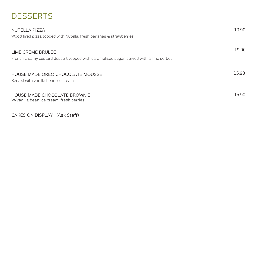# **DESSERTS**

| NUTELLA PIZZA                                                                                               | 19.90 |
|-------------------------------------------------------------------------------------------------------------|-------|
| Wood fired pizza topped with Nutella, fresh bananas & strawberries                                          |       |
| LIME CREME BRULEE<br>French creamy custard dessert topped with caramelised sugar, served with a lime sorbet | 19.90 |
| HOUSE MADE OREO CHOCOLATE MOUSSE<br>Served with vanilla bean ice cream                                      | 15.90 |
| HOUSE MADE CHOCOLATE BROWNIE<br>W/vanilla bean ice cream, fresh berries                                     | 15.90 |

CAKES ON DISPLAY (Ask Staff)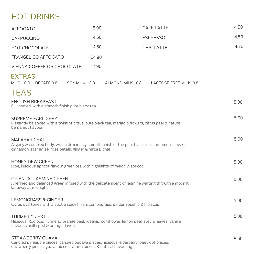# HOT DRINKS

| <b>AFFOGATO</b>                                                                                                                                                                      | 6.90         | <b>CAFE LATTE</b>                        | 4.50 |  |
|--------------------------------------------------------------------------------------------------------------------------------------------------------------------------------------|--------------|------------------------------------------|------|--|
| CAPPUCCINO                                                                                                                                                                           | 4.50         | <b>ESPRESSO</b>                          | 4.50 |  |
| <b>HOT CHOCOLATE</b>                                                                                                                                                                 | 4.50         | <b>CHAI LATTE</b>                        | 4.70 |  |
| FRANGELICO AFFOGATO                                                                                                                                                                  | 14.90        |                                          |      |  |
| VIENNA COFFEE OR CHOCOLATE                                                                                                                                                           | 7.90         |                                          |      |  |
| <b>EXTRAS</b><br>MUG 0.9 DECAFE 0.6                                                                                                                                                  | SOY MILK 0.8 | ALMOND MILK 0.8<br>LACTOSE FREE MILK 0.8 |      |  |
| TEAS<br><b>ENGLISH BREAKFAST</b><br>Full bodied, with a smooth finish pure black tea                                                                                                 |              |                                          | 5.00 |  |
| SUPREME EARL GREY<br>Elegantly balanced with a twist of citrus, pure black tea, marigold flowers, citrus peel & natural<br>bergamot flavour                                          |              |                                          |      |  |
| <b>MALABAR CHAI</b><br>A spicy & complex body, with a deliciously smooth finish of the pure black tea, cardamon, cloves,<br>cinnamon, star anise, rose petals, ginger & natural chai |              |                                          |      |  |
| <b>HONEY DEW GREEN</b><br>Ripe, luscious apricot flavour green tea with highlights of melon & apricot                                                                                |              |                                          |      |  |
| ORIENTAL JASMINE GREEN<br>A refined and balanced green infused with the delicate scent of jasmine wafting through a moonlit<br>laneway at midnight.                                  |              |                                          |      |  |
| <b>LEMONGRASS &amp; GINGER</b><br>Citrus overtones with a subtle spicy finish. Lemongrass, ginger, rosehip & hibiscus                                                                |              |                                          | 5.00 |  |
| <b>TURMERIC ZEST</b><br>Hibiscus, Rooibos, Turmeric, orange peel, rosehip, cornflower, lemon peel, stevia leaves, vanilla<br>flavour, vanilla pod & orange flavour                   |              |                                          | 5.00 |  |
| STRAWBERRY GUAVA<br>Candied pineapple pieces, candied papaya pieces, hibiscus, elderberry, beetroot pieces,<br>strawberry pieces, guava pieces, vanilla pieces & natural flavouring  |              |                                          | 5.00 |  |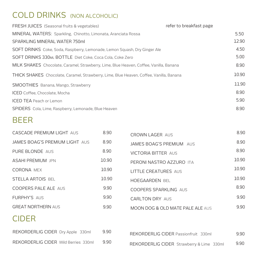## COLD DRINKS (NON ALCOHOLIC)

| FRESH JUICES (Seasonal fruits & vegetables)                                                    | refer to breakfast page |
|------------------------------------------------------------------------------------------------|-------------------------|
| MINERAL WATERS: Sparkling, Chinotto, Limonata, Aranciata Rossa                                 | 5.50                    |
| SPARKLING MINERAL WATER 750ml                                                                  | 12.90                   |
| SOFT DRINKS Coke, Soda, Raspberry, Lemonade, Lemon Squash, Dry Ginger Ale                      | 4.50                    |
| SOFT DRINKS 330ML BOTTLE Diet Coke, Coca Cola, Coke Zero                                       | 5.00                    |
| MILK SHAKES Chocolate, Caramel, Strawberry, Lime, Blue Heaven, Coffee, Vanilla, Banana         | 8.90                    |
| <b>THICK SHAKES</b> Chocolate, Caramel, Strawberry, Lime, Blue Heaven, Coffee, Vanilla, Banana | 10.90                   |
| SMOOTHIES Banana, Mango, Strawberry                                                            | 11.90                   |
| <b>ICED</b> Coffee, Chocolate, Mocha                                                           | 8.90                    |
| <b>ICED TEA</b> Peach or Lemon                                                                 | 5.90                    |
| SPIDERS Cola, Lime, Raspberry, Lemonade, Blue Heaven                                           | 8.90                    |

#### BEER

| CASCADE PREMIUM LIGHT AUS      | 8.90  | <b>CROWN LAGER AUS</b>                      | 8.90  |
|--------------------------------|-------|---------------------------------------------|-------|
| JAMES BOAG'S PREMIUM LIGHT AUS | 8.90  | <b>JAMES BOAG'S PREMIUM AUS</b>             | 8.90  |
| PURE BLONDE AUS                | 8.90  | <b>VICTORIA BITTER AUS</b>                  | 8.90  |
| <b>ASAHI PREMIUM JPN</b>       | 10.90 | PERONI NASTRO AZZURO ITA                    | 10.90 |
| <b>CORONA MEX</b>              | 10.90 | LITTLE CREATURES AUS                        | 10.90 |
| <b>STELLA ARTOIS BEL</b>       | 10.90 | <b>HOEGAARDEN BEL</b>                       | 10.90 |
| <b>COOPERS PALE ALE AUS</b>    | 9.90  | COOPERS SPARKLING AUS                       | 8.90  |
| <b>FURPHY'S AUS</b>            | 9.90  | <b>CARLTON DRY AUS</b>                      | 9.90  |
| <b>GREAT NORTHERN AUS</b>      | 9.90  | <b>MOON DOG &amp; OLD MATE PALE ALE AUS</b> | 9.90  |
| $\sim$ . $\sim$ $\sim$         |       |                                             |       |

#### CIDER

| REKORDERLIG CIDER Dry Apple 330ml    | 9.90 |
|--------------------------------------|------|
| REKORDERLIG CIDER Wild Berries 330ml | 9.90 |

| REKORDERLIG CIDER Passionfruit 330ml      | 9.90 |
|-------------------------------------------|------|
| REKORDERLIG CIDER Strawberry & Lime 330ml | 9.90 |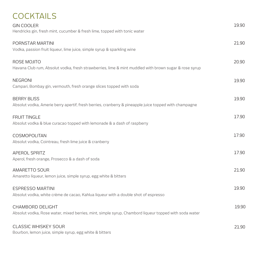# **COCKTAILS**

| <b>GIN COOLER</b><br>Hendricks gin, fresh mint, cucumber & fresh lime, topped with tonic water                                   | 19.90 |
|----------------------------------------------------------------------------------------------------------------------------------|-------|
| PORNSTAR MARTINI<br>Vodka, passion fruit liqueur, lime juice, simple syrup & sparkling wine                                      | 21.90 |
| ROSE MOJITO<br>Havana Club rum, Absolut vodka, fresh strawberries, lime & mint muddled with brown sugar & rose syrup             | 20.90 |
| <b>NEGRONI</b><br>Campari, Bombay gin, vermouth, fresh orange slices topped with soda                                            | 19.90 |
| <b>BERRY BLISS</b><br>Absolut vodka, Amerie berry apertif, fresh berries, cranberry & pineapple juice topped with champagne      | 19.90 |
| <b>FRUIT TINGLE</b><br>Absolut vodka & blue curacao topped with lemonade & a dash of raspberry                                   | 17.90 |
| COSMOPOLITAN<br>Absolut vodka, Cointreau, fresh lime juice & cranberry                                                           | 17.90 |
| <b>APEROL SPRITZ</b><br>Aperol, fresh orange, Prosecco & a dash of soda                                                          | 17.90 |
| <b>AMARETTO SOUR</b><br>Amaretto liqueur, lemon juice, simple syrup, egg white & bitters                                         | 21.90 |
| <b>ESPRESSO MARTINI</b><br>Absolut vodka, white crème de cacao, Kahlua liqueur with a double shot of espresso                    | 19.90 |
| <b>CHAMBORD DELIGHT</b><br>Absolut vodka, Rose water, mixed berries, mint, simple syrup, Chambord liqueur topped with soda water | 19.90 |
| <b>CLASSIC WHISKEY SOUR</b>                                                                                                      | 21.90 |

Bourbon, lemon juice, simple syrup, egg white & bitters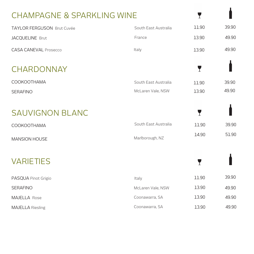# CHAMPAGNE & SPARKLING WINE

| TAYLOR FERGUSON Brut Cuvée   | South East Australia | 11.90 | 39.90 |
|------------------------------|----------------------|-------|-------|
| <b>JACQUELINE Brut</b>       | France               | 13.90 | 49.90 |
| <b>CASA CANEVAL Prosecco</b> | Italy                | 13.90 | 49.90 |
| <b>CHARDONNAY</b>            |                      | Y     |       |
| COOKOOTHAMA                  | South East Australia | 11.90 | 39.90 |
| <b>SERAFINO</b>              | McLaren Vale, NSW    | 13.90 | 49.90 |
|                              |                      |       |       |
| <b>SAUVIGNON BLANC</b>       |                      | Y     |       |
| <b>COOKOOTHAMA</b>           | South East Australia | 11.90 | 39.90 |
| <b>MANSION HOUSE</b>         | Marlborough, NZ      | 14.90 | 51.90 |
|                              |                      |       |       |
| <b>VARIETIES</b>             |                      | Y     |       |
| PASQUA Pinot Grigio          | Italy                | 11.90 | 39.90 |
| <b>SERAFINO</b>              | McLaren Vale, NSW    | 13.90 | 49.90 |
| <b>MAJELLA Rose</b>          | Coonawarra, SA       | 13.90 | 49.90 |
|                              |                      |       |       |
| <b>MAJELLA</b> Riesling      | Coonawarra, SA       | 13.90 | 49.90 |

 $\mathbf{r}$